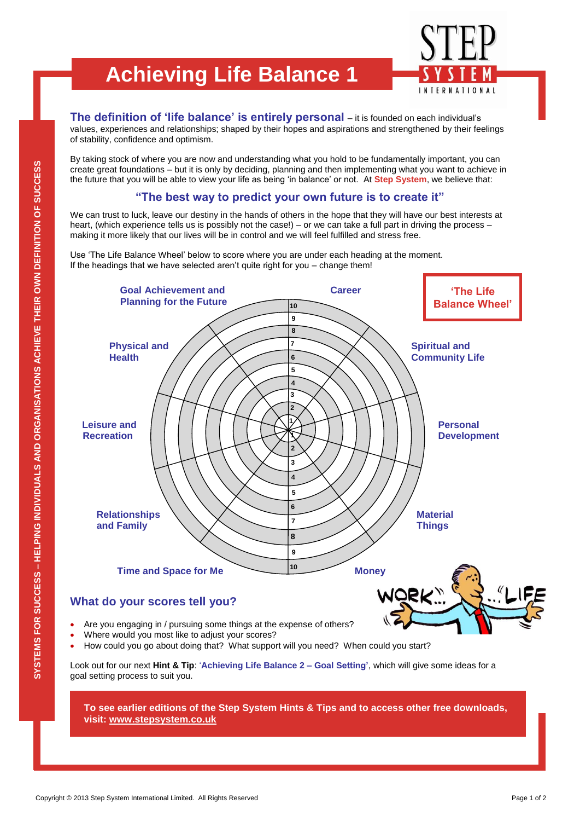## **Achieving Life Balance 1**



**The definition of "life balance" is entirely personal** – it is founded on each individual's values, experiences and relationships; shaped by their hopes and aspirations and strengthened by their feelings of stability, confidence and optimism.

By taking stock of where you are now and understanding what you hold to be fundamentally important, you can create great foundations – but it is only by deciding, planning and then implementing what you want to achieve in the future that you will be able to view your life as being 'in balance' or not. At **Step System**, we believe that:

## **"The best way to predict your own future is to create it"**

We can trust to luck, leave our destiny in the hands of others in the hope that they will have our best interests at heart, (which experience tells us is possibly not the case!) – or we can take a full part in driving the process – making it more likely that our lives will be in control and we will feel fulfilled and stress free.

Use 'The Life Balance Wheel' below to score where you are under each heading at the moment. If the headings that we have selected aren't quite right for you – change them!



**To see earlier editions of the Step System Hints & Tips and to access other free downloads, visit: [www.stepsystem.co.uk](http://www.stepsystem.co.uk/)**